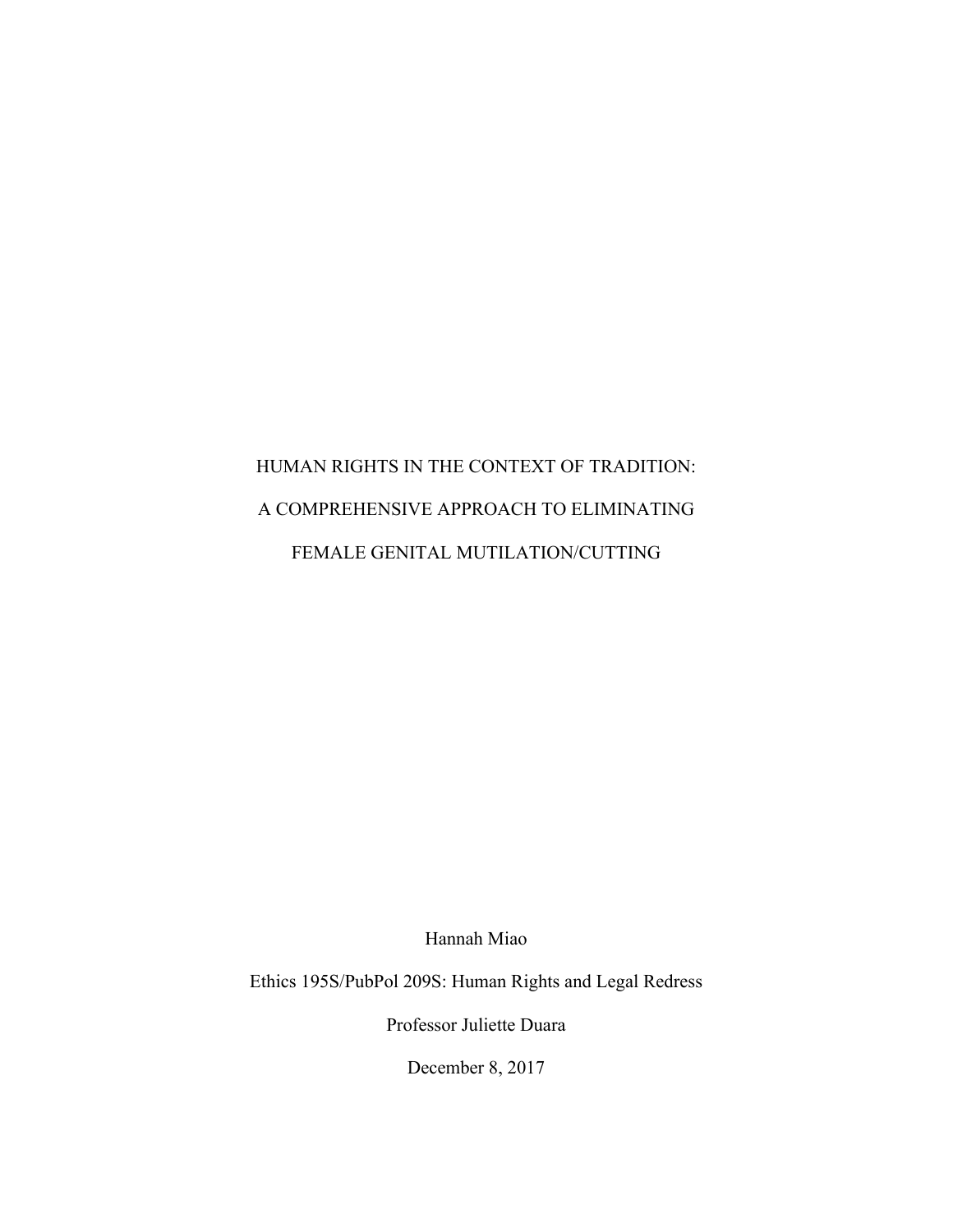# HUMAN RIGHTS IN THE CONTEXT OF TRADITION: A COMPREHENSIVE APPROACH TO ELIMINATING FEMALE GENITAL MUTILATION/CUTTING

Hannah Miao

Ethics 195S/PubPol 209S: Human Rights and Legal Redress

Professor Juliette Duara

December 8, 2017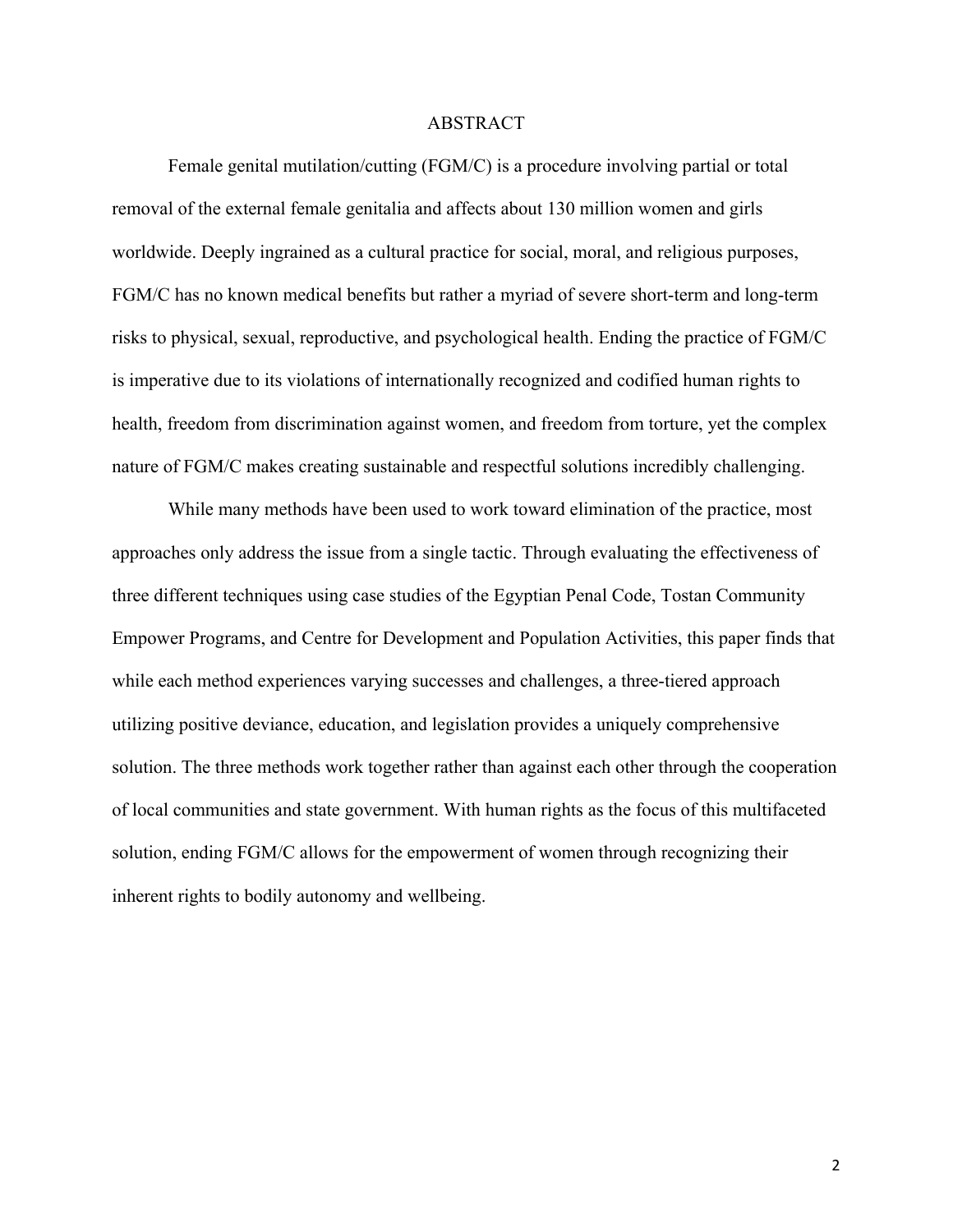#### ABSTRACT

Female genital mutilation/cutting (FGM/C) is a procedure involving partial or total removal of the external female genitalia and affects about 130 million women and girls worldwide. Deeply ingrained as a cultural practice for social, moral, and religious purposes, FGM/C has no known medical benefits but rather a myriad of severe short-term and long-term risks to physical, sexual, reproductive, and psychological health. Ending the practice of FGM/C is imperative due to its violations of internationally recognized and codified human rights to health, freedom from discrimination against women, and freedom from torture, yet the complex nature of FGM/C makes creating sustainable and respectful solutions incredibly challenging.

While many methods have been used to work toward elimination of the practice, most approaches only address the issue from a single tactic. Through evaluating the effectiveness of three different techniques using case studies of the Egyptian Penal Code, Tostan Community Empower Programs, and Centre for Development and Population Activities, this paper finds that while each method experiences varying successes and challenges, a three-tiered approach utilizing positive deviance, education, and legislation provides a uniquely comprehensive solution. The three methods work together rather than against each other through the cooperation of local communities and state government. With human rights as the focus of this multifaceted solution, ending FGM/C allows for the empowerment of women through recognizing their inherent rights to bodily autonomy and wellbeing.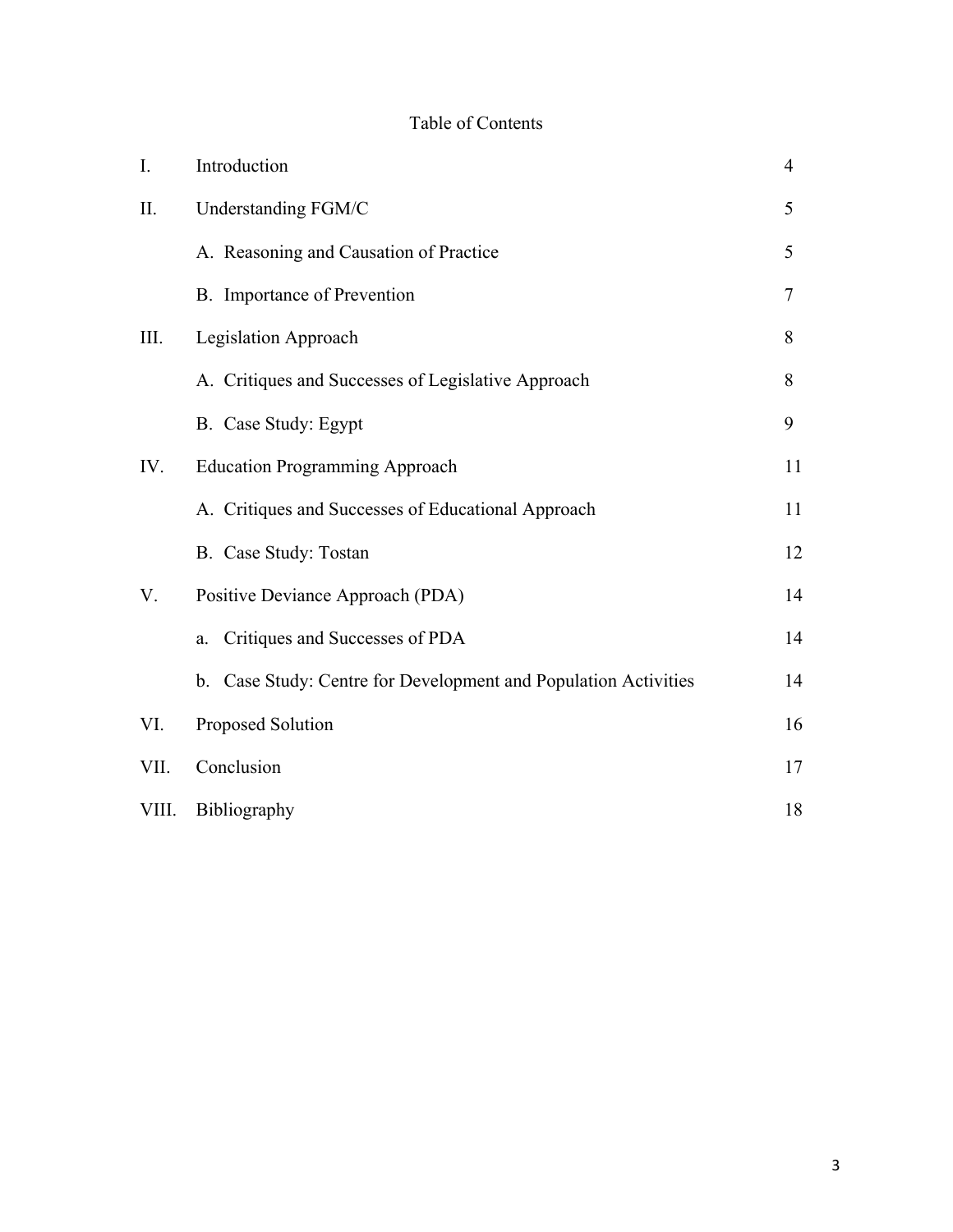# Table of Contents

| I.    | Introduction                                                    | $\overline{4}$ |
|-------|-----------------------------------------------------------------|----------------|
| II.   | Understanding FGM/C                                             | 5              |
|       | A. Reasoning and Causation of Practice                          | 5              |
|       | B. Importance of Prevention                                     | 7              |
| III.  | Legislation Approach                                            | 8              |
|       | A. Critiques and Successes of Legislative Approach              | 8              |
|       | B. Case Study: Egypt                                            | 9              |
| IV.   | <b>Education Programming Approach</b>                           | 11             |
|       | A. Critiques and Successes of Educational Approach              | 11             |
|       | B. Case Study: Tostan                                           | 12             |
| V.    | Positive Deviance Approach (PDA)                                | 14             |
|       | Critiques and Successes of PDA<br>a.                            | 14             |
|       | b. Case Study: Centre for Development and Population Activities | 14             |
| VI.   | Proposed Solution                                               | 16             |
| VII.  | Conclusion                                                      | 17             |
| VIII. | Bibliography                                                    | 18             |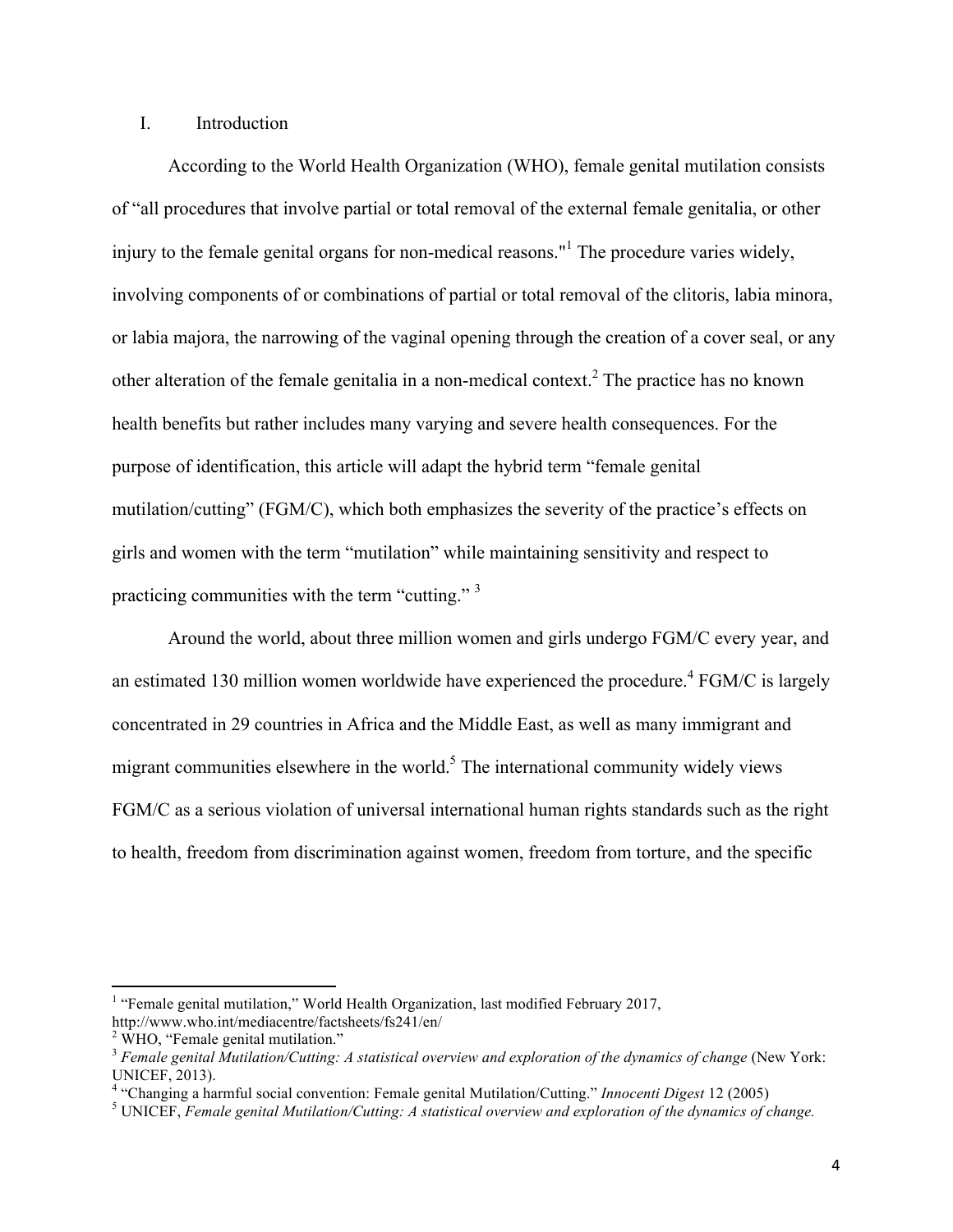## I. Introduction

According to the World Health Organization (WHO), female genital mutilation consists of "all procedures that involve partial or total removal of the external female genitalia, or other injury to the female genital organs for non-medical reasons."<sup>1</sup> The procedure varies widely, involving components of or combinations of partial or total removal of the clitoris, labia minora, or labia majora, the narrowing of the vaginal opening through the creation of a cover seal, or any other alteration of the female genitalia in a non-medical context.<sup>2</sup> The practice has no known health benefits but rather includes many varying and severe health consequences. For the purpose of identification, this article will adapt the hybrid term "female genital mutilation/cutting" (FGM/C), which both emphasizes the severity of the practice's effects on girls and women with the term "mutilation" while maintaining sensitivity and respect to practicing communities with the term "cutting."<sup>3</sup>

Around the world, about three million women and girls undergo FGM/C every year, and an estimated 130 million women worldwide have experienced the procedure.<sup>4</sup> FGM/C is largely concentrated in 29 countries in Africa and the Middle East, as well as many immigrant and migrant communities elsewhere in the world. $<sup>5</sup>$  The international community widely views</sup> FGM/C as a serious violation of universal international human rights standards such as the right to health, freedom from discrimination against women, freedom from torture, and the specific

<u> 1989 - Jan Stein Stein, fransk politiker (d. 1989)</u>

<sup>&</sup>lt;sup>1</sup> "Female genital mutilation," World Health Organization, last modified February 2017,

http://www.who.int/mediacentre/factsheets/fs241/en/

 $2$  WHO, "Female genital mutilation."

<sup>3</sup> *Female genital Mutilation/Cutting: A statistical overview and exploration of the dynamics of change* (New York: UNICEF, 2013).

<sup>&</sup>lt;sup>4</sup> "Changing a harmful social convention: Female genital Mutilation/Cutting." *Innocenti Digest* 12 (2005)<br><sup>5</sup> UNICEF, *Female genital Mutilation/Cutting: A statistical overview and exploration of the dynamics of change.*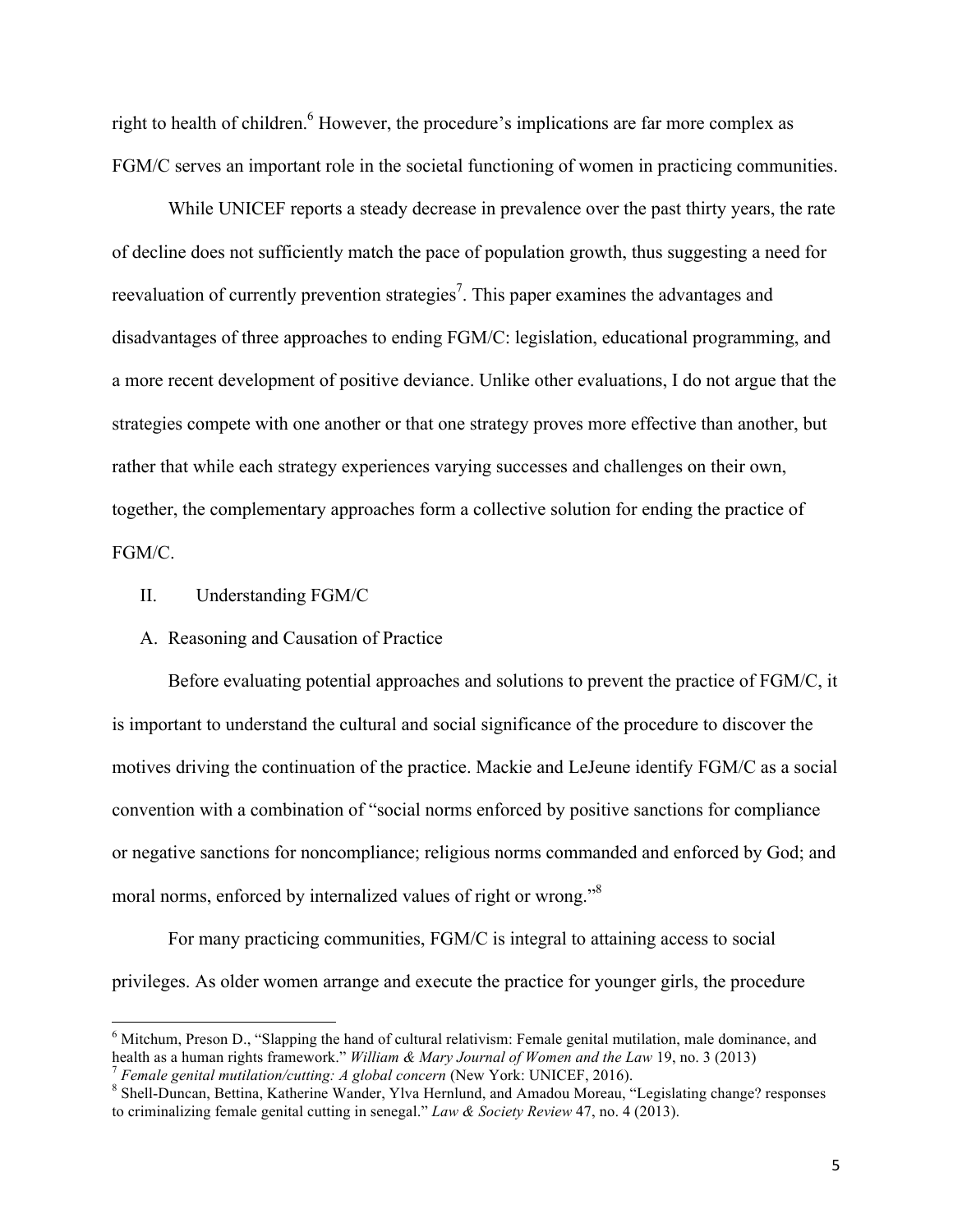right to health of children.<sup>6</sup> However, the procedure's implications are far more complex as FGM/C serves an important role in the societal functioning of women in practicing communities.

While UNICEF reports a steady decrease in prevalence over the past thirty years, the rate of decline does not sufficiently match the pace of population growth, thus suggesting a need for reevaluation of currently prevention strategies<sup>7</sup>. This paper examines the advantages and disadvantages of three approaches to ending FGM/C: legislation, educational programming, and a more recent development of positive deviance. Unlike other evaluations, I do not argue that the strategies compete with one another or that one strategy proves more effective than another, but rather that while each strategy experiences varying successes and challenges on their own, together, the complementary approaches form a collective solution for ending the practice of FGM/C.

II. Understanding FGM/C

<u> 1989 - Jan Stein Stein, fransk politiker (d. 1989)</u>

### A. Reasoning and Causation of Practice

Before evaluating potential approaches and solutions to prevent the practice of FGM/C, it is important to understand the cultural and social significance of the procedure to discover the motives driving the continuation of the practice. Mackie and LeJeune identify FGM/C as a social convention with a combination of "social norms enforced by positive sanctions for compliance or negative sanctions for noncompliance; religious norms commanded and enforced by God; and moral norms, enforced by internalized values of right or wrong."8

For many practicing communities, FGM/C is integral to attaining access to social privileges. As older women arrange and execute the practice for younger girls, the procedure

<sup>&</sup>lt;sup>6</sup> Mitchum, Preson D., "Slapping the hand of cultural relativism: Female genital mutilation, male dominance, and health as a human rights framework." William & Mary Journal of Women and the Law 19, no. 3 (2013)<br>
<sup>7</sup> Female genital mutilation/cutting: A global concern (New York: UNICEF, 2016).<br>
<sup>8</sup> Shell-Duncan, Bettina, Katherine Wan

to criminalizing female genital cutting in senegal." *Law & Society Review* 47, no. 4 (2013).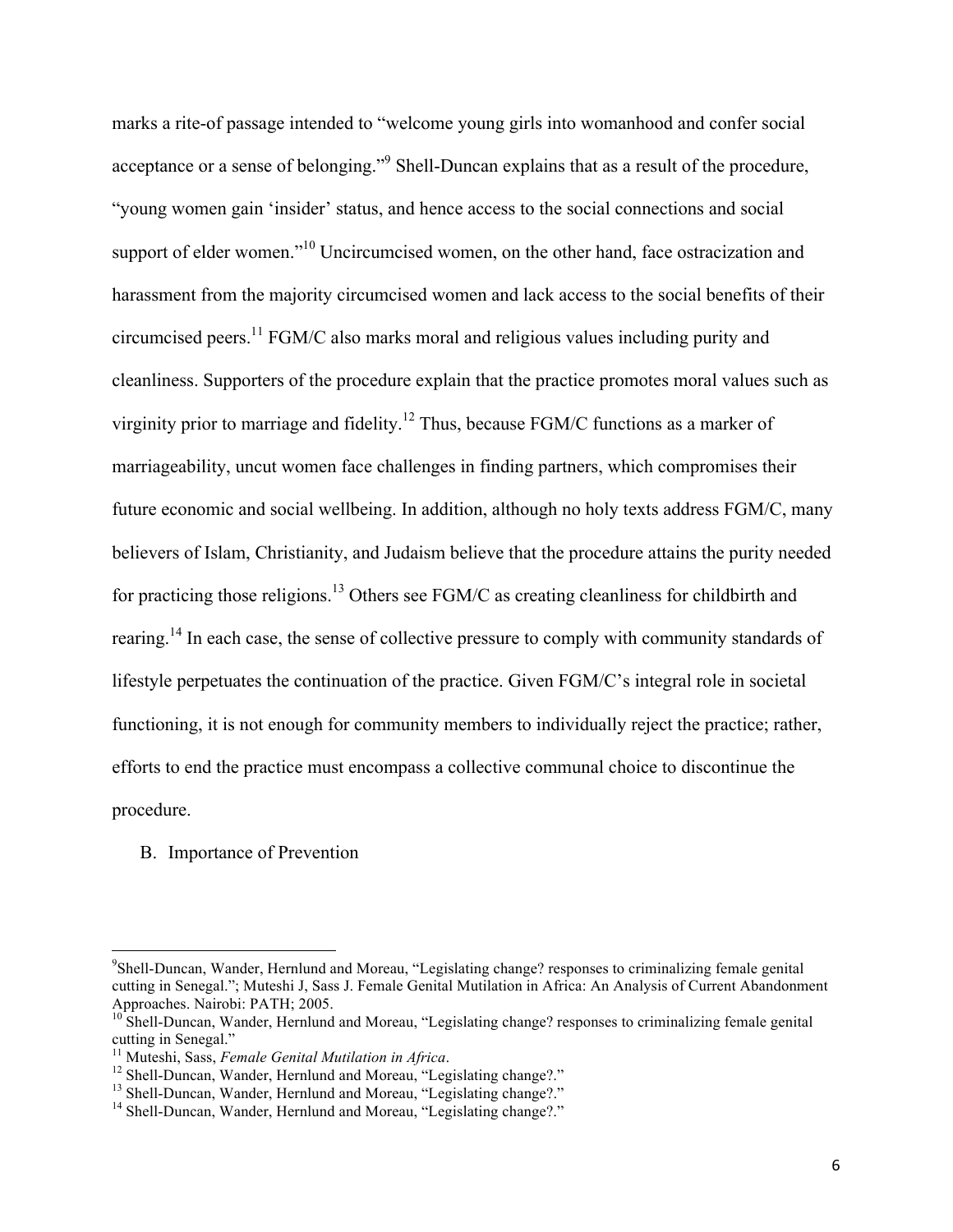marks a rite-of passage intended to "welcome young girls into womanhood and confer social acceptance or a sense of belonging."<sup>9</sup> Shell-Duncan explains that as a result of the procedure, "young women gain 'insider' status, and hence access to the social connections and social support of elder women."<sup>10</sup> Uncircumcised women, on the other hand, face ostracization and harassment from the majority circumcised women and lack access to the social benefits of their circumcised peers.11 FGM/C also marks moral and religious values including purity and cleanliness. Supporters of the procedure explain that the practice promotes moral values such as virginity prior to marriage and fidelity.<sup>12</sup> Thus, because FGM/C functions as a marker of marriageability, uncut women face challenges in finding partners, which compromises their future economic and social wellbeing. In addition, although no holy texts address FGM/C, many believers of Islam, Christianity, and Judaism believe that the procedure attains the purity needed for practicing those religions.<sup>13</sup> Others see FGM/C as creating cleanliness for childbirth and rearing.14 In each case, the sense of collective pressure to comply with community standards of lifestyle perpetuates the continuation of the practice. Given FGM/C's integral role in societal functioning, it is not enough for community members to individually reject the practice; rather, efforts to end the practice must encompass a collective communal choice to discontinue the procedure.

#### B. Importance of Prevention

<u> 1989 - Jan Stein Stein, fransk politiker (d. 1989)</u>

<sup>9</sup> Shell-Duncan, Wander, Hernlund and Moreau, "Legislating change? responses to criminalizing female genital cutting in Senegal."; Muteshi J, Sass J. Female Genital Mutilation in Africa: An Analysis of Current Abandonment Approaches. Nairobi: PATH; 2005.

<sup>&</sup>lt;sup>10</sup> Shell-Duncan, Wander, Hernlund and Moreau, "Legislating change? responses to criminalizing female genital cutting in Senegal."<br><sup>11</sup> Muteshi, Sass, *Female Genital Mutilation in Africa*.

<sup>&</sup>lt;sup>12</sup> Shell-Duncan, Wander, Hernlund and Moreau, "Legislating change?."<br><sup>13</sup> Shell-Duncan, Wander, Hernlund and Moreau, "Legislating change?."<br><sup>14</sup> Shell-Duncan, Wander, Hernlund and Moreau, "Legislating change?."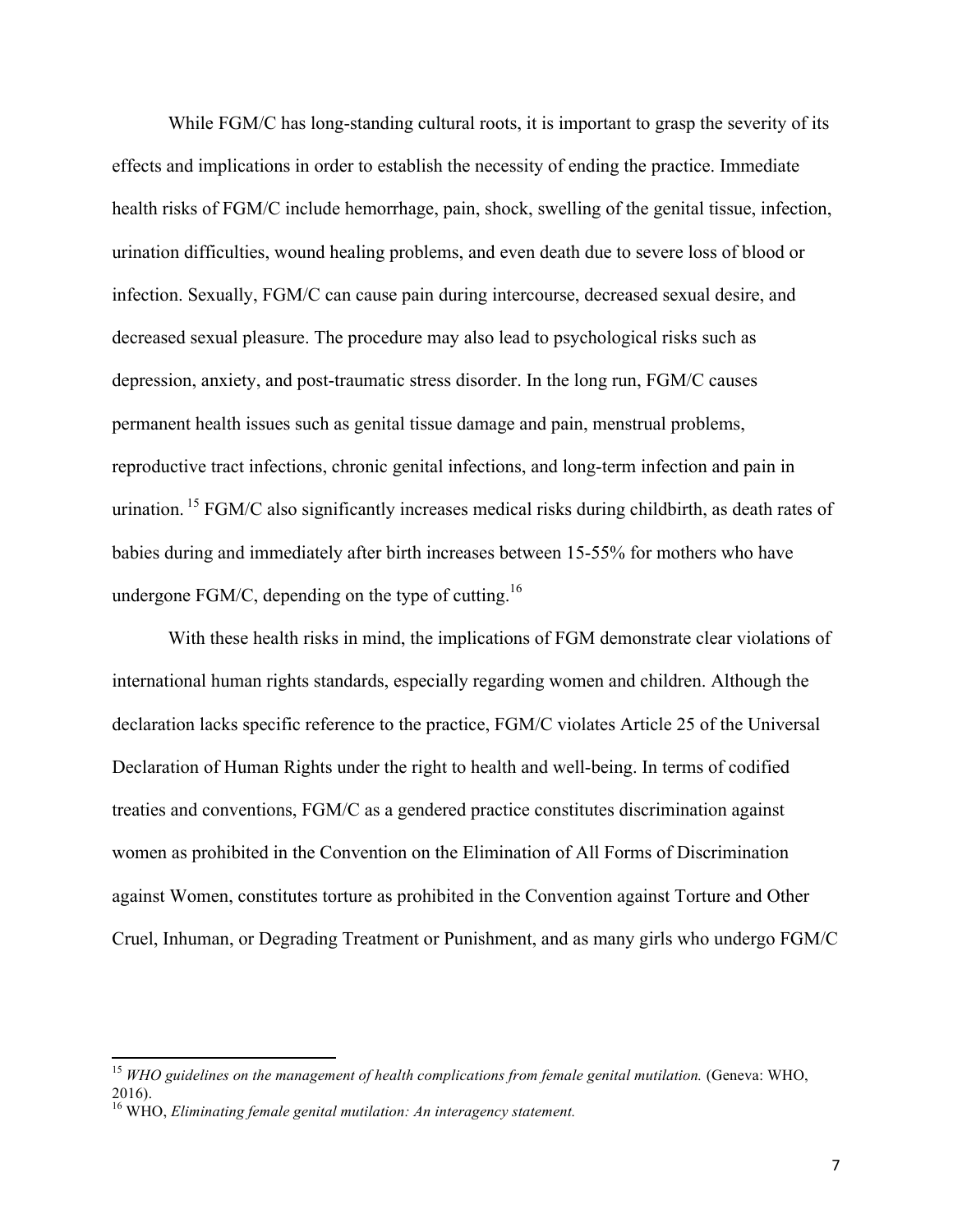While FGM/C has long-standing cultural roots, it is important to grasp the severity of its effects and implications in order to establish the necessity of ending the practice. Immediate health risks of FGM/C include hemorrhage, pain, shock, swelling of the genital tissue, infection, urination difficulties, wound healing problems, and even death due to severe loss of blood or infection. Sexually, FGM/C can cause pain during intercourse, decreased sexual desire, and decreased sexual pleasure. The procedure may also lead to psychological risks such as depression, anxiety, and post-traumatic stress disorder. In the long run, FGM/C causes permanent health issues such as genital tissue damage and pain, menstrual problems, reproductive tract infections, chronic genital infections, and long-term infection and pain in urination. <sup>15</sup> FGM/C also significantly increases medical risks during childbirth, as death rates of babies during and immediately after birth increases between 15-55% for mothers who have undergone  $FGM/C$ , depending on the type of cutting.<sup>16</sup>

With these health risks in mind, the implications of FGM demonstrate clear violations of international human rights standards, especially regarding women and children. Although the declaration lacks specific reference to the practice, FGM/C violates Article 25 of the Universal Declaration of Human Rights under the right to health and well-being. In terms of codified treaties and conventions, FGM/C as a gendered practice constitutes discrimination against women as prohibited in the Convention on the Elimination of All Forms of Discrimination against Women, constitutes torture as prohibited in the Convention against Torture and Other Cruel, Inhuman, or Degrading Treatment or Punishment, and as many girls who undergo FGM/C

<sup>&</sup>lt;sup>15</sup> WHO guidelines on the management of health complications from female genital mutilation. (Geneva: WHO, 2016).

<sup>16</sup> WHO, *Eliminating female genital mutilation: An interagency statement.*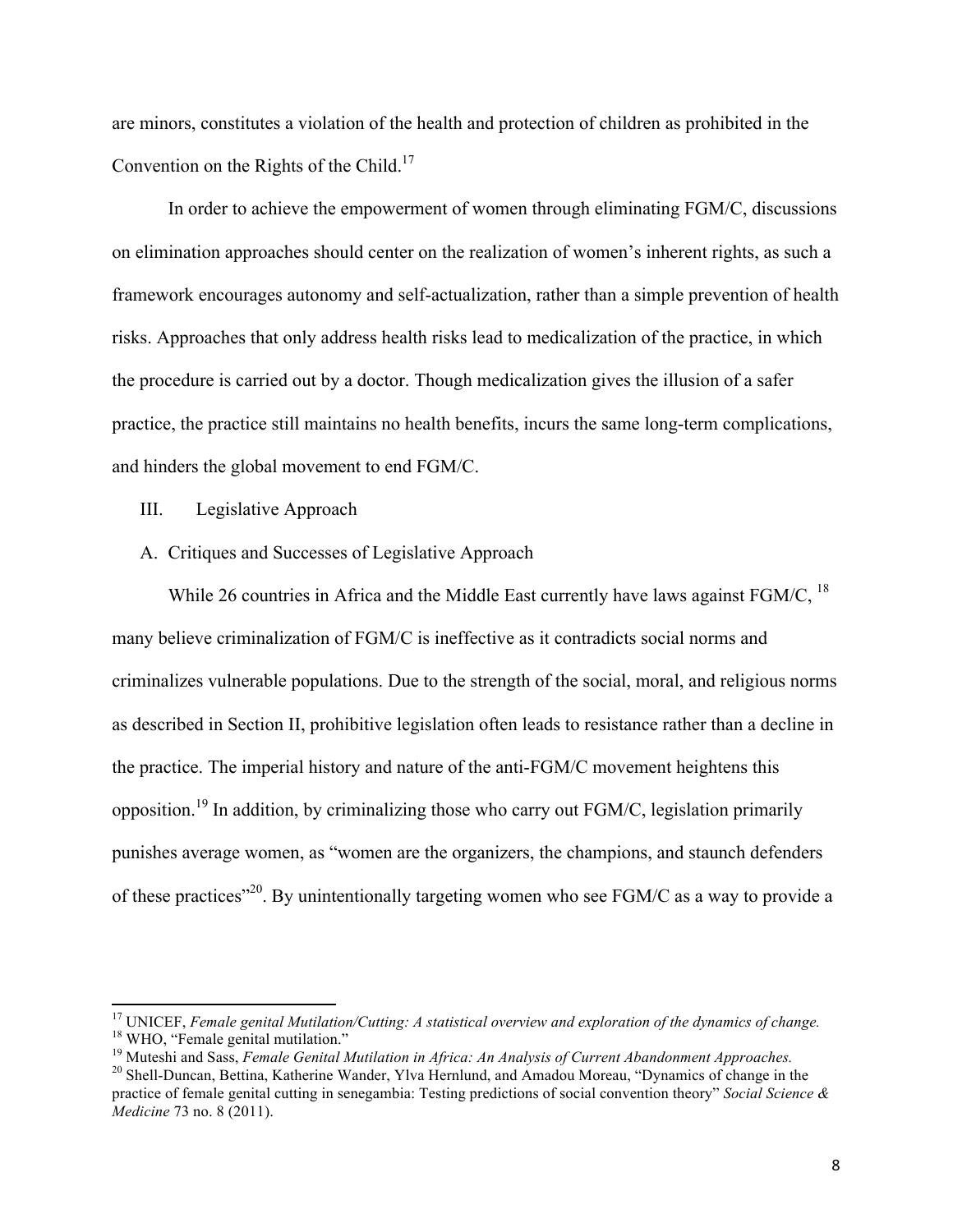are minors, constitutes a violation of the health and protection of children as prohibited in the Convention on the Rights of the Child.<sup>17</sup>

In order to achieve the empowerment of women through eliminating FGM/C, discussions on elimination approaches should center on the realization of women's inherent rights, as such a framework encourages autonomy and self-actualization, rather than a simple prevention of health risks. Approaches that only address health risks lead to medicalization of the practice, in which the procedure is carried out by a doctor. Though medicalization gives the illusion of a safer practice, the practice still maintains no health benefits, incurs the same long-term complications, and hinders the global movement to end FGM/C.

III. Legislative Approach

<u> 1989 - Jan Stein Stein, fransk politiker (d. 1989)</u>

A. Critiques and Successes of Legislative Approach

While 26 countries in Africa and the Middle East currently have laws against  $FGM/C$ , <sup>18</sup> many believe criminalization of FGM/C is ineffective as it contradicts social norms and criminalizes vulnerable populations. Due to the strength of the social, moral, and religious norms as described in Section II, prohibitive legislation often leads to resistance rather than a decline in the practice. The imperial history and nature of the anti-FGM/C movement heightens this opposition.<sup>19</sup> In addition, by criminalizing those who carry out FGM/C, legislation primarily punishes average women, as "women are the organizers, the champions, and staunch defenders of these practices"20. By unintentionally targeting women who see FGM/C as a way to provide a

<sup>&</sup>lt;sup>17</sup> UNICEF, *Female genital Mutilation/Cutting: A statistical overview and exploration of the dynamics of change.*<br><sup>18</sup> WHO, "Female genital mutilation."<br><sup>19</sup> Muteshi and Sass, *Female Genital Mutilation in Africa: An An* 

practice of female genital cutting in senegambia: Testing predictions of social convention theory" *Social Science & Medicine* 73 no. 8 (2011).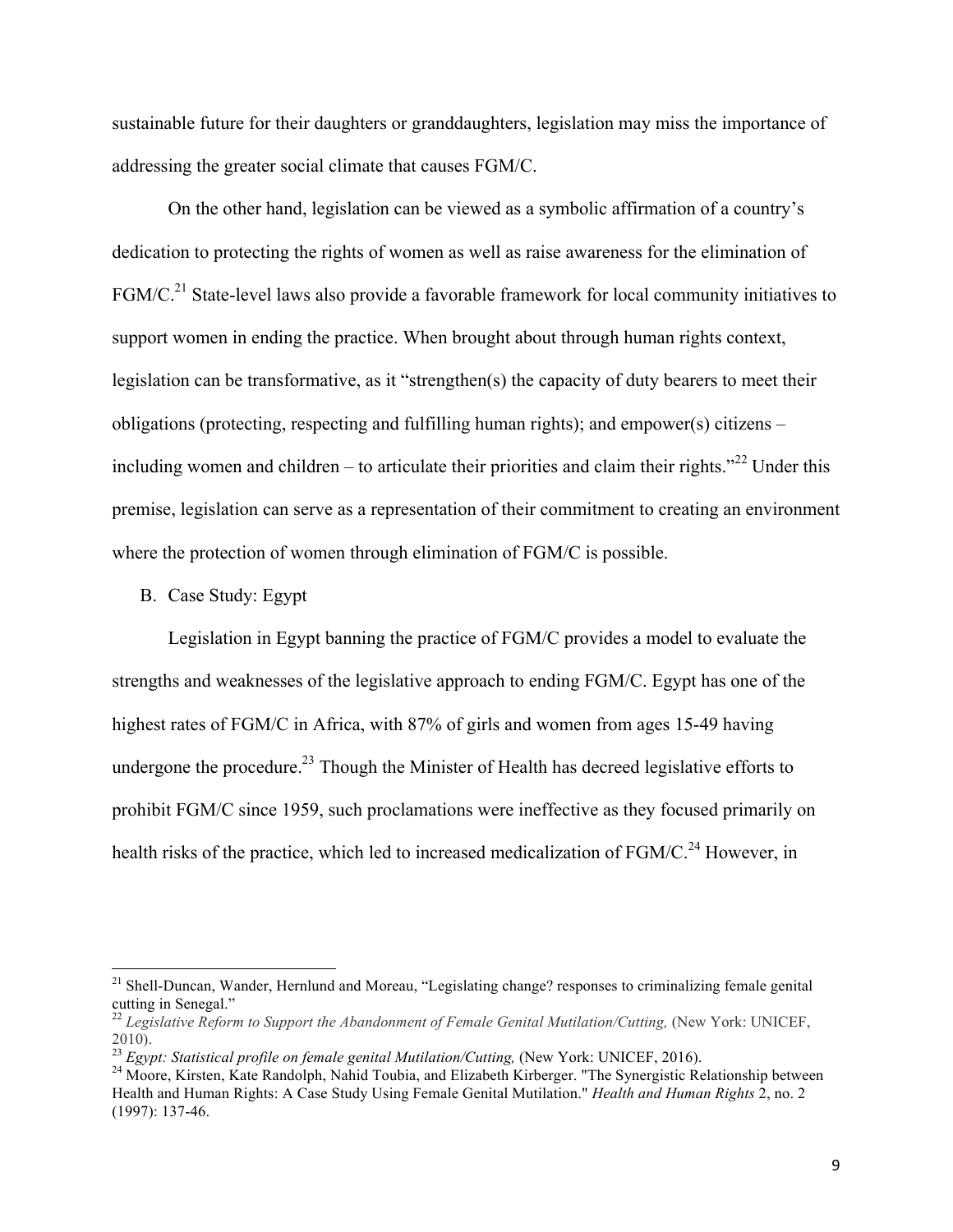sustainable future for their daughters or granddaughters, legislation may miss the importance of addressing the greater social climate that causes FGM/C.

On the other hand, legislation can be viewed as a symbolic affirmation of a country's dedication to protecting the rights of women as well as raise awareness for the elimination of FGM/C.<sup>21</sup> State-level laws also provide a favorable framework for local community initiatives to support women in ending the practice. When brought about through human rights context, legislation can be transformative, as it "strengthen(s) the capacity of duty bearers to meet their obligations (protecting, respecting and fulfilling human rights); and empower(s) citizens – including women and children – to articulate their priorities and claim their rights.<sup>"22</sup> Under this premise, legislation can serve as a representation of their commitment to creating an environment where the protection of women through elimination of FGM/C is possible.

B. Case Study: Egypt

 

Legislation in Egypt banning the practice of FGM/C provides a model to evaluate the strengths and weaknesses of the legislative approach to ending FGM/C. Egypt has one of the highest rates of FGM/C in Africa, with 87% of girls and women from ages 15-49 having undergone the procedure.<sup>23</sup> Though the Minister of Health has decreed legislative efforts to prohibit FGM/C since 1959, such proclamations were ineffective as they focused primarily on health risks of the practice, which led to increased medicalization of  $FGM/C<sup>24</sup>$  However, in

<sup>&</sup>lt;sup>21</sup> Shell-Duncan, Wander, Hernlund and Moreau, "Legislating change? responses to criminalizing female genital cutting in Senegal."

<sup>&</sup>lt;sup>22</sup> Legislative Reform to Support the Abandonment of Female Genital Mutilation/Cutting, (New York: UNICEF, 2010).<br><sup>23</sup> Egypt: Statistical profile on female genital Mutilation/Cutting, (New York: UNICEF, 2016).

<sup>&</sup>lt;sup>24</sup> Moore, Kirsten, Kate Randolph, Nahid Toubia, and Elizabeth Kirberger. "The Synergistic Relationship between Health and Human Rights: A Case Study Using Female Genital Mutilation." *Health and Human Rights* 2, no. 2 (1997): 137-46.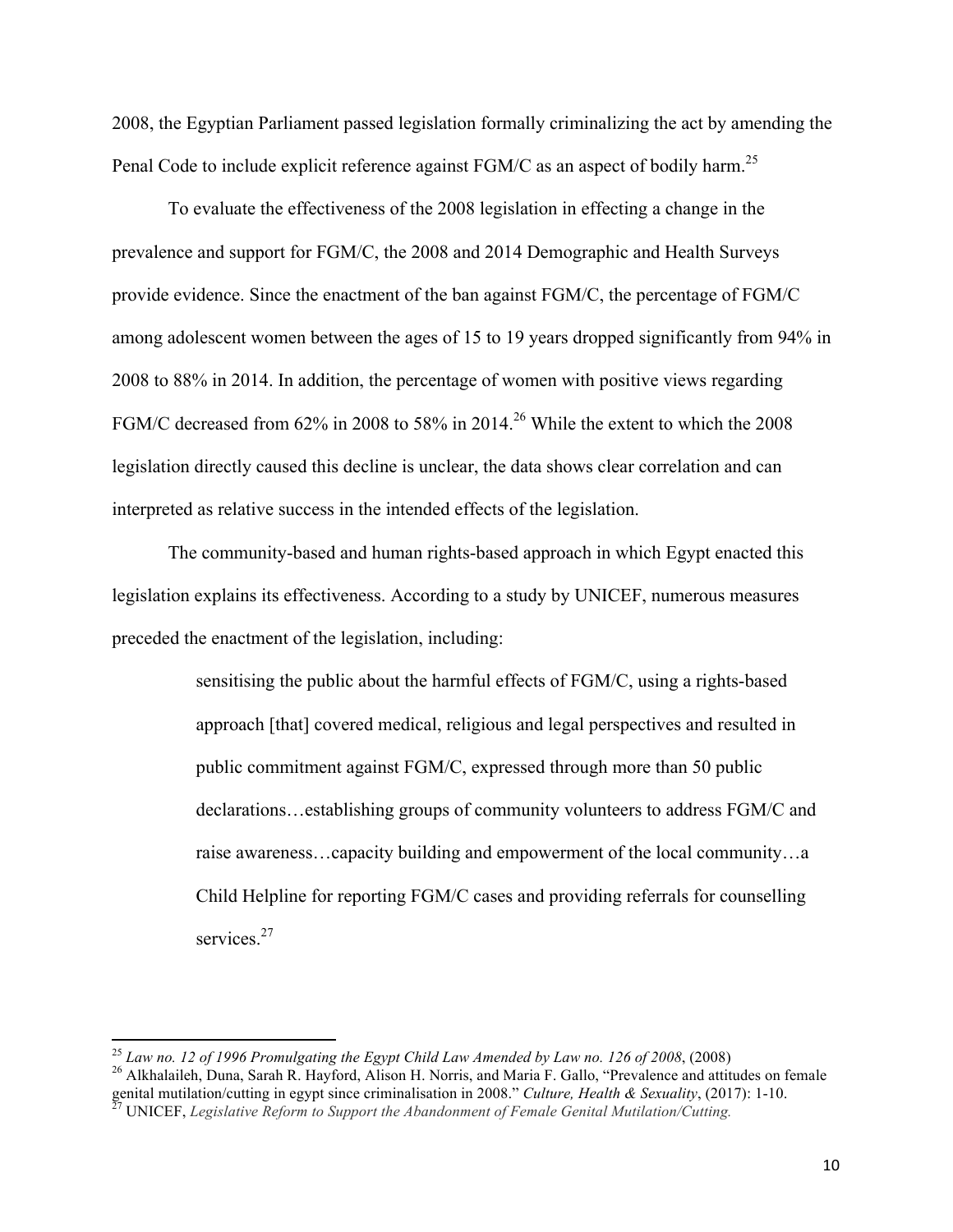2008, the Egyptian Parliament passed legislation formally criminalizing the act by amending the Penal Code to include explicit reference against FGM/C as an aspect of bodily harm.<sup>25</sup>

To evaluate the effectiveness of the 2008 legislation in effecting a change in the prevalence and support for FGM/C, the 2008 and 2014 Demographic and Health Surveys provide evidence. Since the enactment of the ban against FGM/C, the percentage of FGM/C among adolescent women between the ages of 15 to 19 years dropped significantly from 94% in 2008 to 88% in 2014. In addition, the percentage of women with positive views regarding FGM/C decreased from 62% in 2008 to 58% in 2014.<sup>26</sup> While the extent to which the 2008 legislation directly caused this decline is unclear, the data shows clear correlation and can interpreted as relative success in the intended effects of the legislation.

The community-based and human rights-based approach in which Egypt enacted this legislation explains its effectiveness. According to a study by UNICEF, numerous measures preceded the enactment of the legislation, including:

> sensitising the public about the harmful effects of FGM/C, using a rights-based approach [that] covered medical, religious and legal perspectives and resulted in public commitment against FGM/C, expressed through more than 50 public declarations…establishing groups of community volunteers to address FGM/C and raise awareness…capacity building and empowerment of the local community…a Child Helpline for reporting FGM/C cases and providing referrals for counselling services.<sup>27</sup>

 $^{25}$  Law no. 12 of 1996 Promulgating the Egypt Child Law Amended by Law no. 126 of 2008, (2008)

<sup>&</sup>lt;sup>26</sup> Alkhalaileh, Duna, Sarah R. Hayford, Alison H. Norris, and Maria F. Gallo, "Prevalence and attitudes on female genital mutilation/cutting in egypt since criminalisation in 2008." *Culture, Health & Sexuality*, (2017): 1-10. <sup>27</sup> UNICEF, *Legislative Reform to Support the Abandonment of Female Genital Mutilation/Cutting.*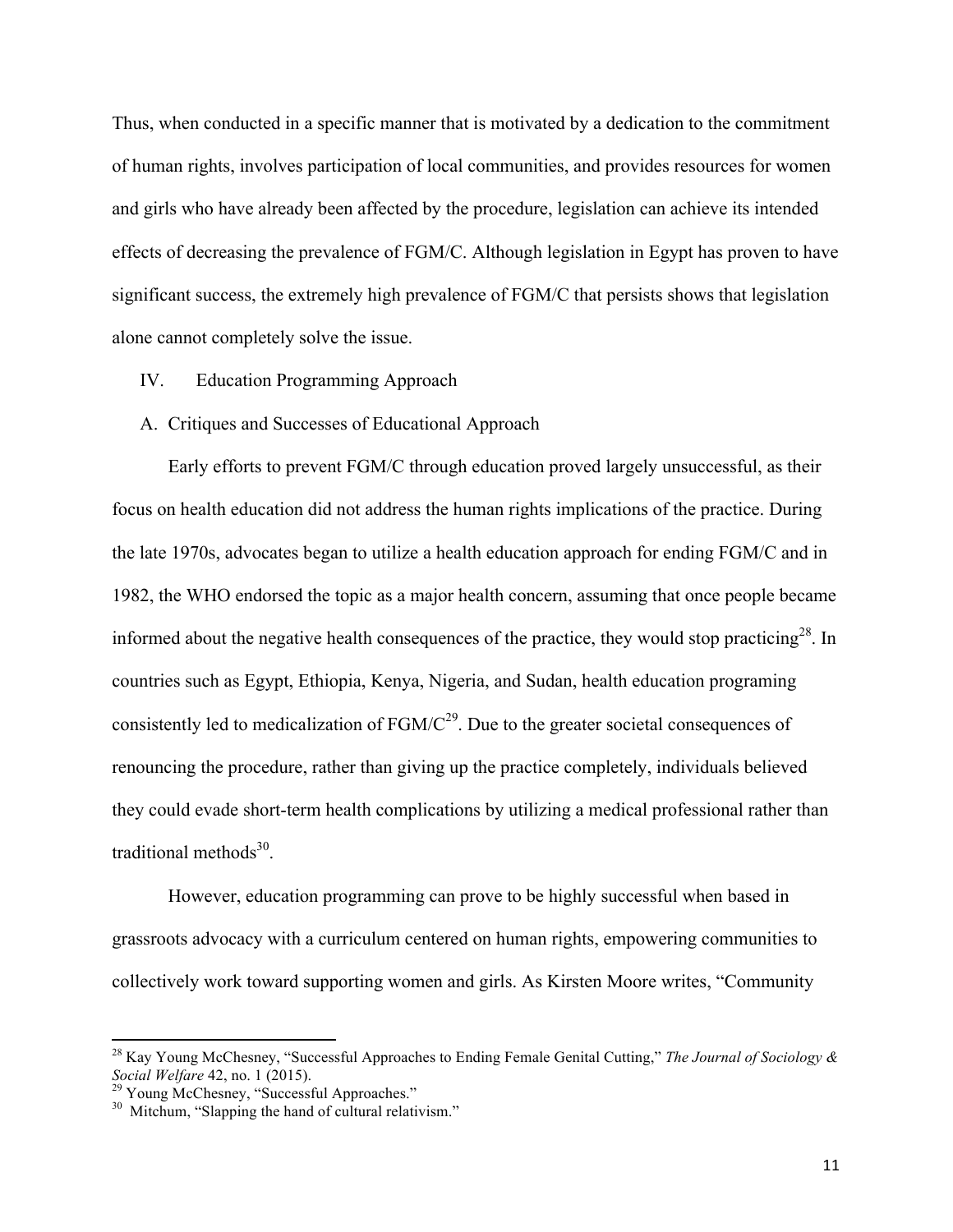Thus, when conducted in a specific manner that is motivated by a dedication to the commitment of human rights, involves participation of local communities, and provides resources for women and girls who have already been affected by the procedure, legislation can achieve its intended effects of decreasing the prevalence of FGM/C. Although legislation in Egypt has proven to have significant success, the extremely high prevalence of FGM/C that persists shows that legislation alone cannot completely solve the issue.

- IV. Education Programming Approach
- A. Critiques and Successes of Educational Approach

Early efforts to prevent FGM/C through education proved largely unsuccessful, as their focus on health education did not address the human rights implications of the practice. During the late 1970s, advocates began to utilize a health education approach for ending FGM/C and in 1982, the WHO endorsed the topic as a major health concern, assuming that once people became informed about the negative health consequences of the practice, they would stop practicing<sup>28</sup>. In countries such as Egypt, Ethiopia, Kenya, Nigeria, and Sudan, health education programing consistently led to medicalization of  $FGM/C<sup>29</sup>$ . Due to the greater societal consequences of renouncing the procedure, rather than giving up the practice completely, individuals believed they could evade short-term health complications by utilizing a medical professional rather than traditional methods $30$ .

However, education programming can prove to be highly successful when based in grassroots advocacy with a curriculum centered on human rights, empowering communities to collectively work toward supporting women and girls. As Kirsten Moore writes, "Community

<u> 1989 - Jan Stein Stein, fransk politiker (d. 1989)</u>

<sup>28</sup> Kay Young McChesney, "Successful Approaches to Ending Female Genital Cutting," *The Journal of Sociology & Social Welfare* 42, no. 1 (2015).<br><sup>29</sup> Young McChesney, "Successful Approaches."<br><sup>30</sup> Mitchum, "Slapping the hand of cultural relativism."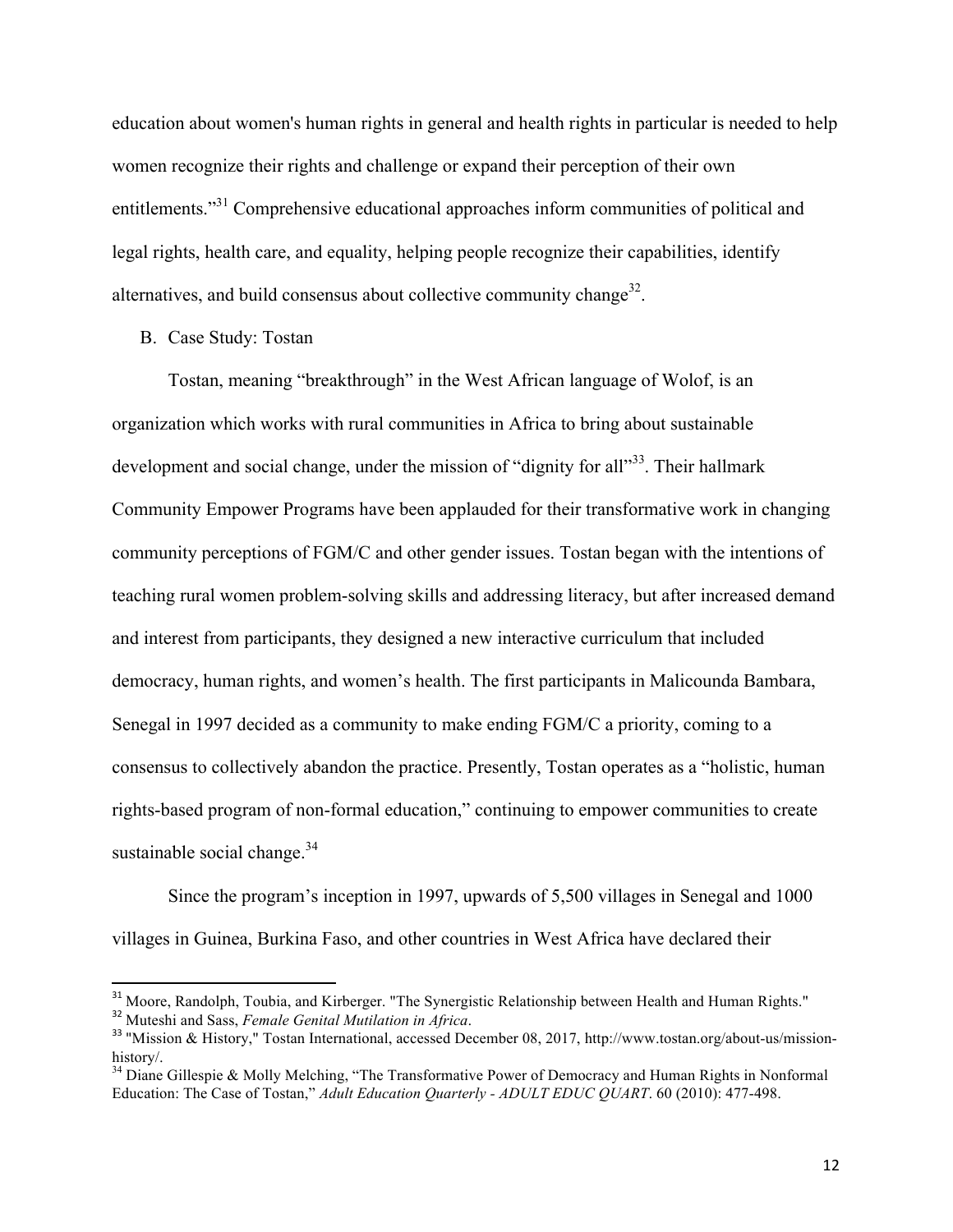education about women's human rights in general and health rights in particular is needed to help women recognize their rights and challenge or expand their perception of their own entitlements."<sup>31</sup> Comprehensive educational approaches inform communities of political and legal rights, health care, and equality, helping people recognize their capabilities, identify alternatives, and build consensus about collective community change<sup>32</sup>.

B. Case Study: Tostan

Tostan, meaning "breakthrough" in the West African language of Wolof, is an organization which works with rural communities in Africa to bring about sustainable development and social change, under the mission of "dignity for all"<sup>33</sup>. Their hallmark Community Empower Programs have been applauded for their transformative work in changing community perceptions of FGM/C and other gender issues. Tostan began with the intentions of teaching rural women problem-solving skills and addressing literacy, but after increased demand and interest from participants, they designed a new interactive curriculum that included democracy, human rights, and women's health. The first participants in Malicounda Bambara, Senegal in 1997 decided as a community to make ending FGM/C a priority, coming to a consensus to collectively abandon the practice. Presently, Tostan operates as a "holistic, human rights-based program of non-formal education," continuing to empower communities to create sustainable social change. $34$ 

Since the program's inception in 1997, upwards of 5,500 villages in Senegal and 1000 villages in Guinea, Burkina Faso, and other countries in West Africa have declared their

<sup>&</sup>lt;sup>31</sup> Moore, Randolph, Toubia, and Kirberger. "The Synergistic Relationship between Health and Human Rights."

<sup>&</sup>lt;sup>32</sup> Muteshi and Sass, *Female Genital Mutilation in Africa*.<br><sup>33</sup> "Mission & History," Tostan International, accessed December 08, 2017, http://www.tostan.org/about-us/missionhistory/.

 $34$  Diane Gillespie & Molly Melching, "The Transformative Power of Democracy and Human Rights in Nonformal Education: The Case of Tostan," *Adult Education Quarterly - ADULT EDUC QUART*. 60 (2010): 477-498.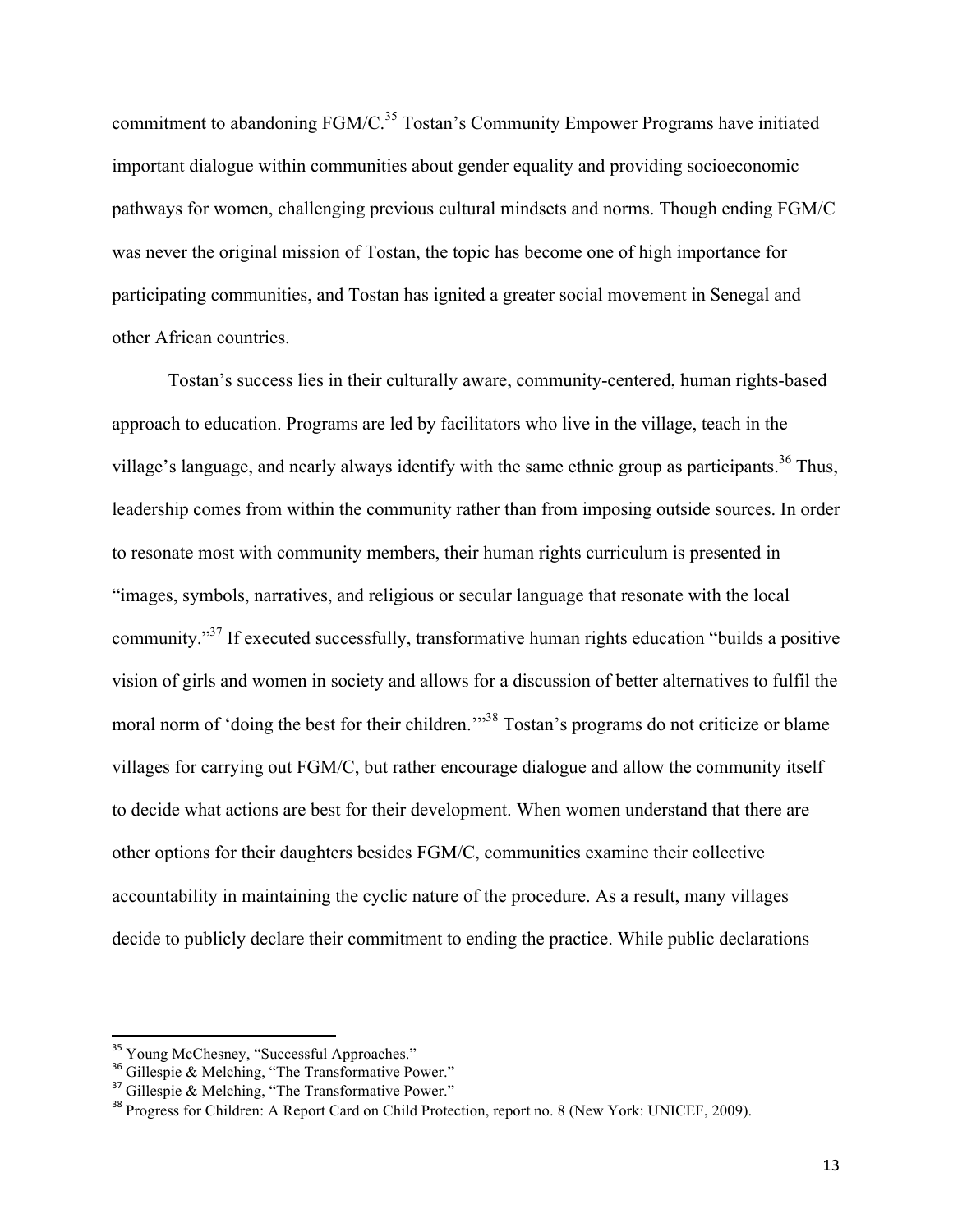commitment to abandoning  $FGM/C<sup>35</sup> Tostan's Community Empower Programs have initiated$ important dialogue within communities about gender equality and providing socioeconomic pathways for women, challenging previous cultural mindsets and norms. Though ending FGM/C was never the original mission of Tostan, the topic has become one of high importance for participating communities, and Tostan has ignited a greater social movement in Senegal and other African countries.

Tostan's success lies in their culturally aware, community-centered, human rights-based approach to education. Programs are led by facilitators who live in the village, teach in the village's language, and nearly always identify with the same ethnic group as participants.<sup>36</sup> Thus, leadership comes from within the community rather than from imposing outside sources. In order to resonate most with community members, their human rights curriculum is presented in "images, symbols, narratives, and religious or secular language that resonate with the local community."37 If executed successfully, transformative human rights education "builds a positive vision of girls and women in society and allows for a discussion of better alternatives to fulfil the moral norm of 'doing the best for their children.'"<sup>38</sup> Tostan's programs do not criticize or blame villages for carrying out FGM/C, but rather encourage dialogue and allow the community itself to decide what actions are best for their development. When women understand that there are other options for their daughters besides FGM/C, communities examine their collective accountability in maintaining the cyclic nature of the procedure. As a result, many villages decide to publicly declare their commitment to ending the practice. While public declarations

<u> 1989 - Johann Stein, markin film yn y breninn y breninn y breninn y breninn y breninn y breninn y breninn y b</u>

<sup>&</sup>lt;sup>35</sup> Young McChesney, "Successful Approaches."  $\frac{36}{10}$  Gillespie & Melching, "The Transformative Power."

 $37$  Gillespie & Melching, "The Transformative Power."

<sup>&</sup>lt;sup>38</sup> Progress for Children: A Report Card on Child Protection, report no. 8 (New York: UNICEF, 2009).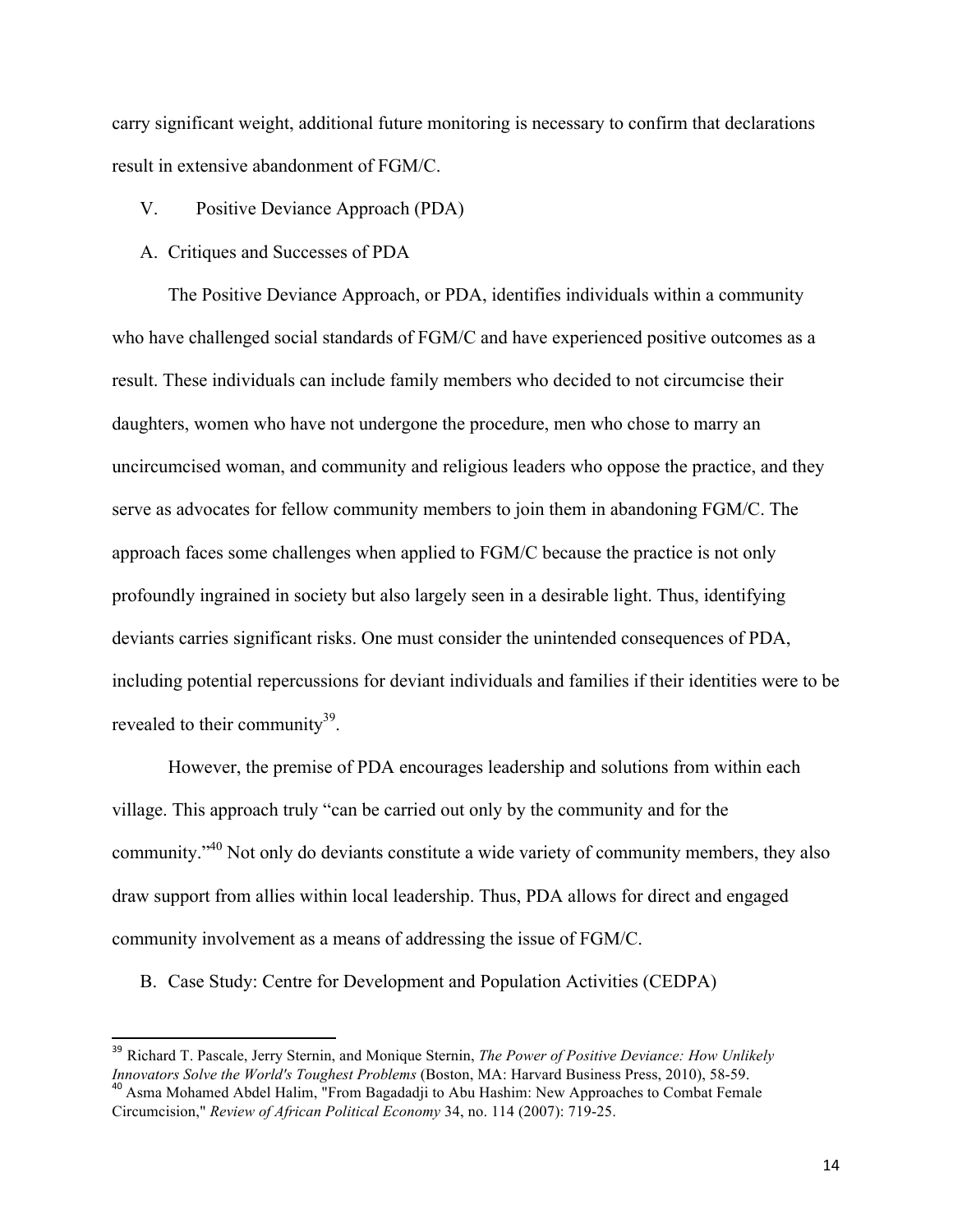carry significant weight, additional future monitoring is necessary to confirm that declarations result in extensive abandonment of FGM/C.

- V. Positive Deviance Approach (PDA)
- A. Critiques and Successes of PDA

The Positive Deviance Approach, or PDA, identifies individuals within a community who have challenged social standards of FGM/C and have experienced positive outcomes as a result. These individuals can include family members who decided to not circumcise their daughters, women who have not undergone the procedure, men who chose to marry an uncircumcised woman, and community and religious leaders who oppose the practice, and they serve as advocates for fellow community members to join them in abandoning FGM/C. The approach faces some challenges when applied to FGM/C because the practice is not only profoundly ingrained in society but also largely seen in a desirable light. Thus, identifying deviants carries significant risks. One must consider the unintended consequences of PDA, including potential repercussions for deviant individuals and families if their identities were to be revealed to their community<sup>39</sup>.

However, the premise of PDA encourages leadership and solutions from within each village. This approach truly "can be carried out only by the community and for the community."40 Not only do deviants constitute a wide variety of community members, they also draw support from allies within local leadership. Thus, PDA allows for direct and engaged community involvement as a means of addressing the issue of FGM/C.

B. Case Study: Centre for Development and Population Activities (CEDPA)

<sup>&</sup>lt;sup>39</sup> Richard T. Pascale, Jerry Sternin, and Monique Sternin, *The Power of Positive Deviance: How Unlikely Innovators Solve the World's Toughest Problems (Boston, MA: Harvard Business Press, 2010), 58-59.* <sup>40</sup> Asma Mohamed Abdel Halim, "From Bagadadji to Abu Hashim: New Approaches to Combat Female

Circumcision," *Review of African Political Economy* 34, no. 114 (2007): 719-25.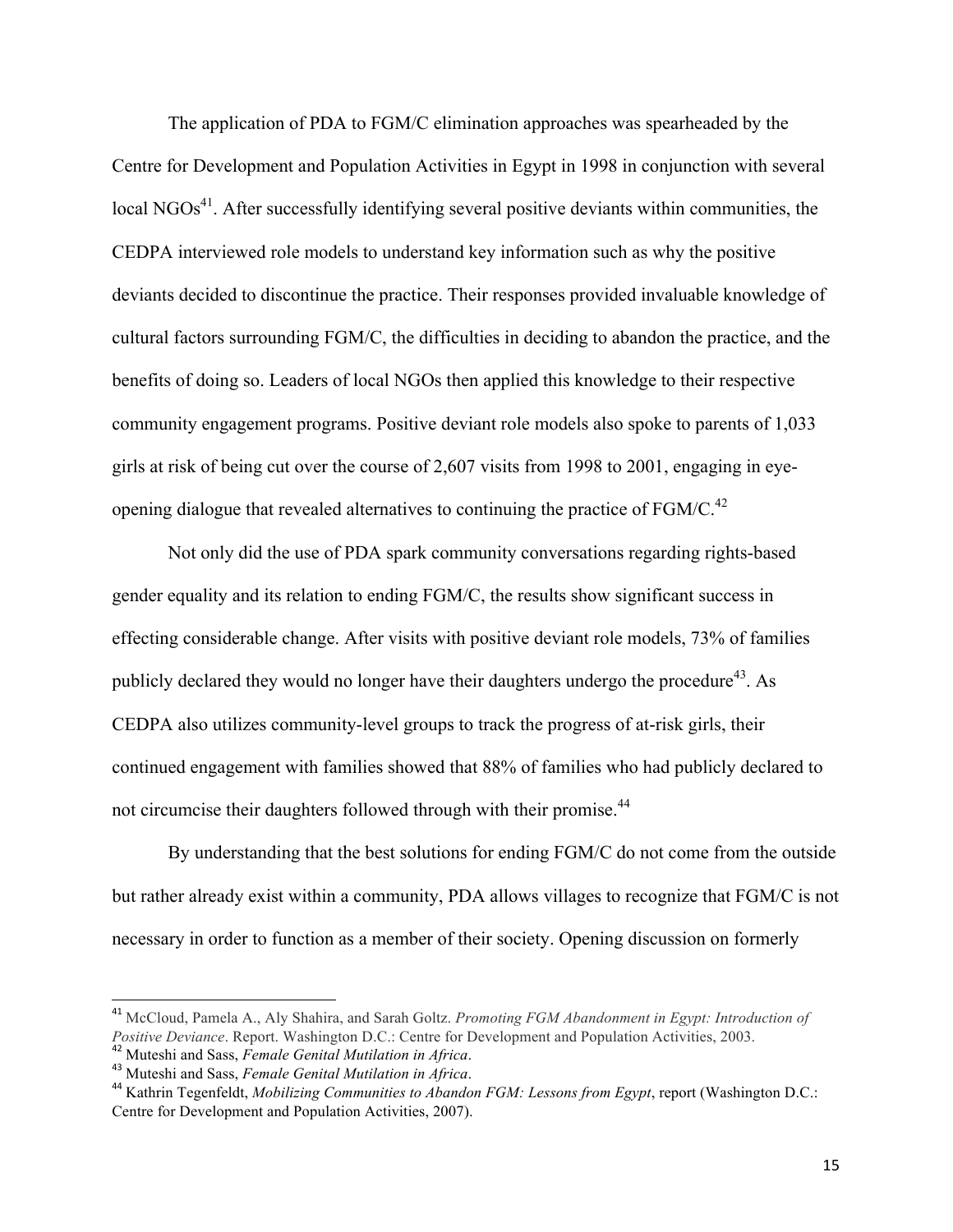The application of PDA to FGM/C elimination approaches was spearheaded by the Centre for Development and Population Activities in Egypt in 1998 in conjunction with several  $\log_{10}$  NGOs<sup>41</sup>. After successfully identifying several positive deviants within communities, the CEDPA interviewed role models to understand key information such as why the positive deviants decided to discontinue the practice. Their responses provided invaluable knowledge of cultural factors surrounding FGM/C, the difficulties in deciding to abandon the practice, and the benefits of doing so. Leaders of local NGOs then applied this knowledge to their respective community engagement programs. Positive deviant role models also spoke to parents of 1,033 girls at risk of being cut over the course of 2,607 visits from 1998 to 2001, engaging in eyeopening dialogue that revealed alternatives to continuing the practice of  $FGM/C<sub>1</sub><sup>42</sup>$ 

Not only did the use of PDA spark community conversations regarding rights-based gender equality and its relation to ending FGM/C, the results show significant success in effecting considerable change. After visits with positive deviant role models, 73% of families publicly declared they would no longer have their daughters undergo the procedure<sup>43</sup>. As CEDPA also utilizes community-level groups to track the progress of at-risk girls, their continued engagement with families showed that 88% of families who had publicly declared to not circumcise their daughters followed through with their promise.<sup>44</sup>

By understanding that the best solutions for ending FGM/C do not come from the outside but rather already exist within a community, PDA allows villages to recognize that FGM/C is not necessary in order to function as a member of their society. Opening discussion on formerly

<u> 1989 - Johann Stein, markin film yn y breninn y breninn y breninn y breninn y breninn y breninn y breninn y b</u>

<sup>41</sup> McCloud, Pamela A., Aly Shahira, and Sarah Goltz. *Promoting FGM Abandonment in Egypt: Introduction of Positive Deviance*. Report. Washington D.C.: Centre for Development and Population Activities, 2003. <sup>42</sup> Muteshi and Sass, *Female Genital Mutilation in Africa*.

<sup>43</sup> Muteshi and Sass, *Female Genital Mutilation in Africa*.

<sup>44</sup> Kathrin Tegenfeldt, *Mobilizing Communities to Abandon FGM: Lessons from Egypt*, report (Washington D.C.: Centre for Development and Population Activities, 2007).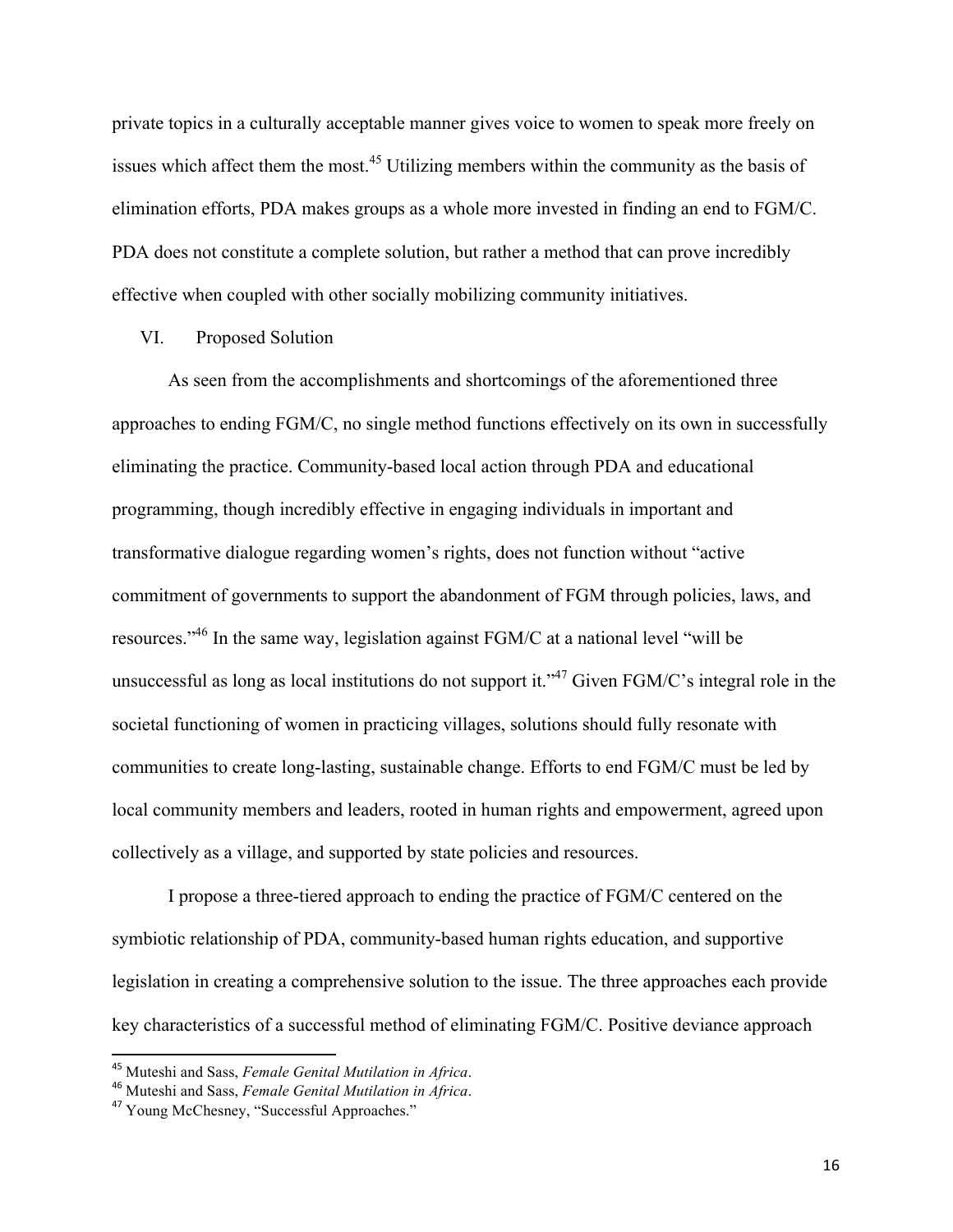private topics in a culturally acceptable manner gives voice to women to speak more freely on issues which affect them the most.<sup>45</sup> Utilizing members within the community as the basis of elimination efforts, PDA makes groups as a whole more invested in finding an end to FGM/C. PDA does not constitute a complete solution, but rather a method that can prove incredibly effective when coupled with other socially mobilizing community initiatives.

#### VI. Proposed Solution

As seen from the accomplishments and shortcomings of the aforementioned three approaches to ending FGM/C, no single method functions effectively on its own in successfully eliminating the practice. Community-based local action through PDA and educational programming, though incredibly effective in engaging individuals in important and transformative dialogue regarding women's rights, does not function without "active commitment of governments to support the abandonment of FGM through policies, laws, and resources."46 In the same way, legislation against FGM/C at a national level "will be unsuccessful as long as local institutions do not support it."<sup>47</sup> Given FGM/C's integral role in the societal functioning of women in practicing villages, solutions should fully resonate with communities to create long-lasting, sustainable change. Efforts to end FGM/C must be led by local community members and leaders, rooted in human rights and empowerment, agreed upon collectively as a village, and supported by state policies and resources.

I propose a three-tiered approach to ending the practice of FGM/C centered on the symbiotic relationship of PDA, community-based human rights education, and supportive legislation in creating a comprehensive solution to the issue. The three approaches each provide key characteristics of a successful method of eliminating FGM/C. Positive deviance approach

<u> 1989 - Johann Stein, markin film yn y breninn y breninn y breninn y breninn y breninn y breninn y breninn y b</u>

<sup>45</sup> Muteshi and Sass, *Female Genital Mutilation in Africa*.

<sup>46</sup> Muteshi and Sass, *Female Genital Mutilation in Africa*.

<sup>47</sup> Young McChesney, "Successful Approaches."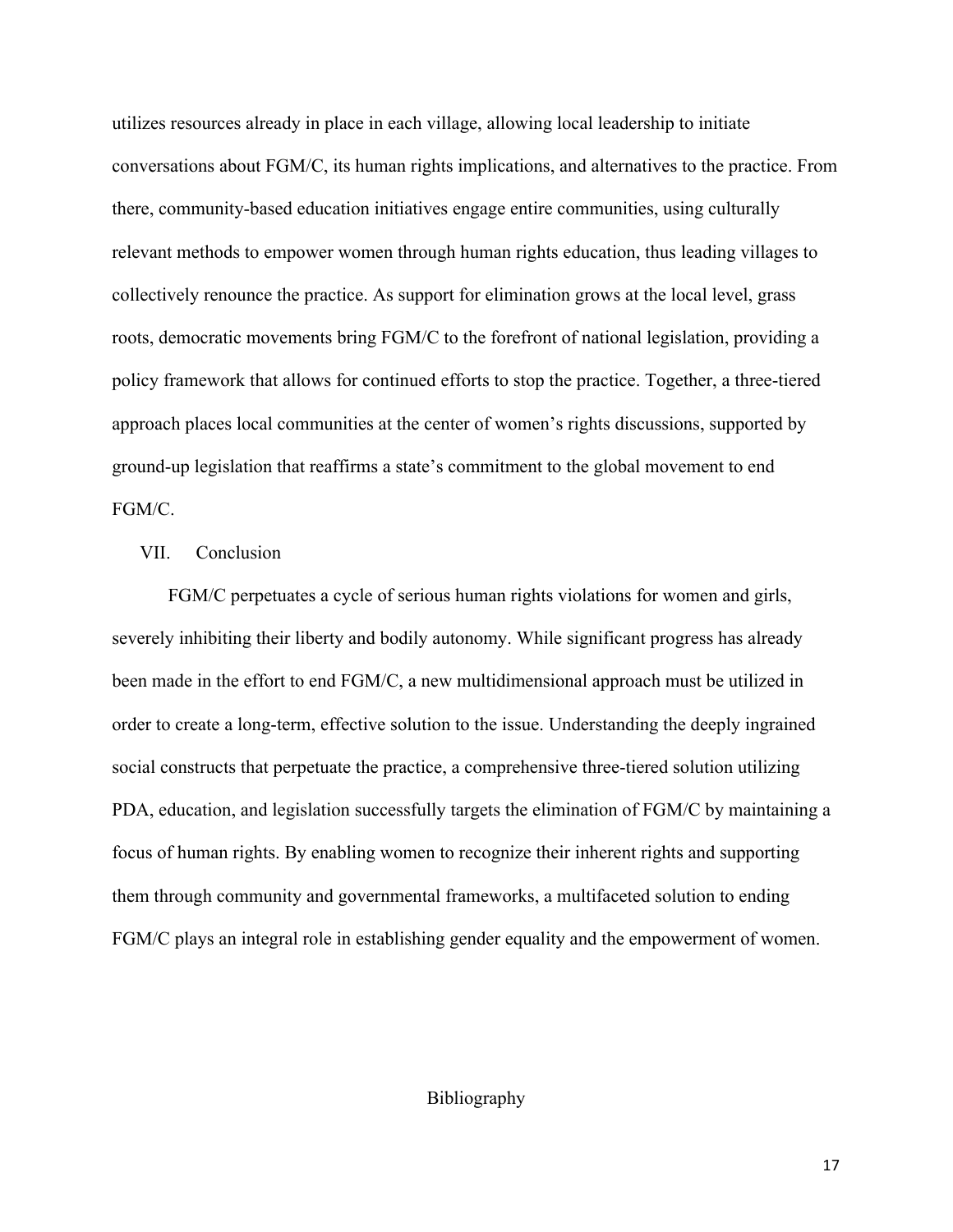utilizes resources already in place in each village, allowing local leadership to initiate conversations about FGM/C, its human rights implications, and alternatives to the practice. From there, community-based education initiatives engage entire communities, using culturally relevant methods to empower women through human rights education, thus leading villages to collectively renounce the practice. As support for elimination grows at the local level, grass roots, democratic movements bring FGM/C to the forefront of national legislation, providing a policy framework that allows for continued efforts to stop the practice. Together, a three-tiered approach places local communities at the center of women's rights discussions, supported by ground-up legislation that reaffirms a state's commitment to the global movement to end FGM/C.

#### VII. Conclusion

FGM/C perpetuates a cycle of serious human rights violations for women and girls, severely inhibiting their liberty and bodily autonomy. While significant progress has already been made in the effort to end FGM/C, a new multidimensional approach must be utilized in order to create a long-term, effective solution to the issue. Understanding the deeply ingrained social constructs that perpetuate the practice, a comprehensive three-tiered solution utilizing PDA, education, and legislation successfully targets the elimination of FGM/C by maintaining a focus of human rights. By enabling women to recognize their inherent rights and supporting them through community and governmental frameworks, a multifaceted solution to ending FGM/C plays an integral role in establishing gender equality and the empowerment of women.

### Bibliography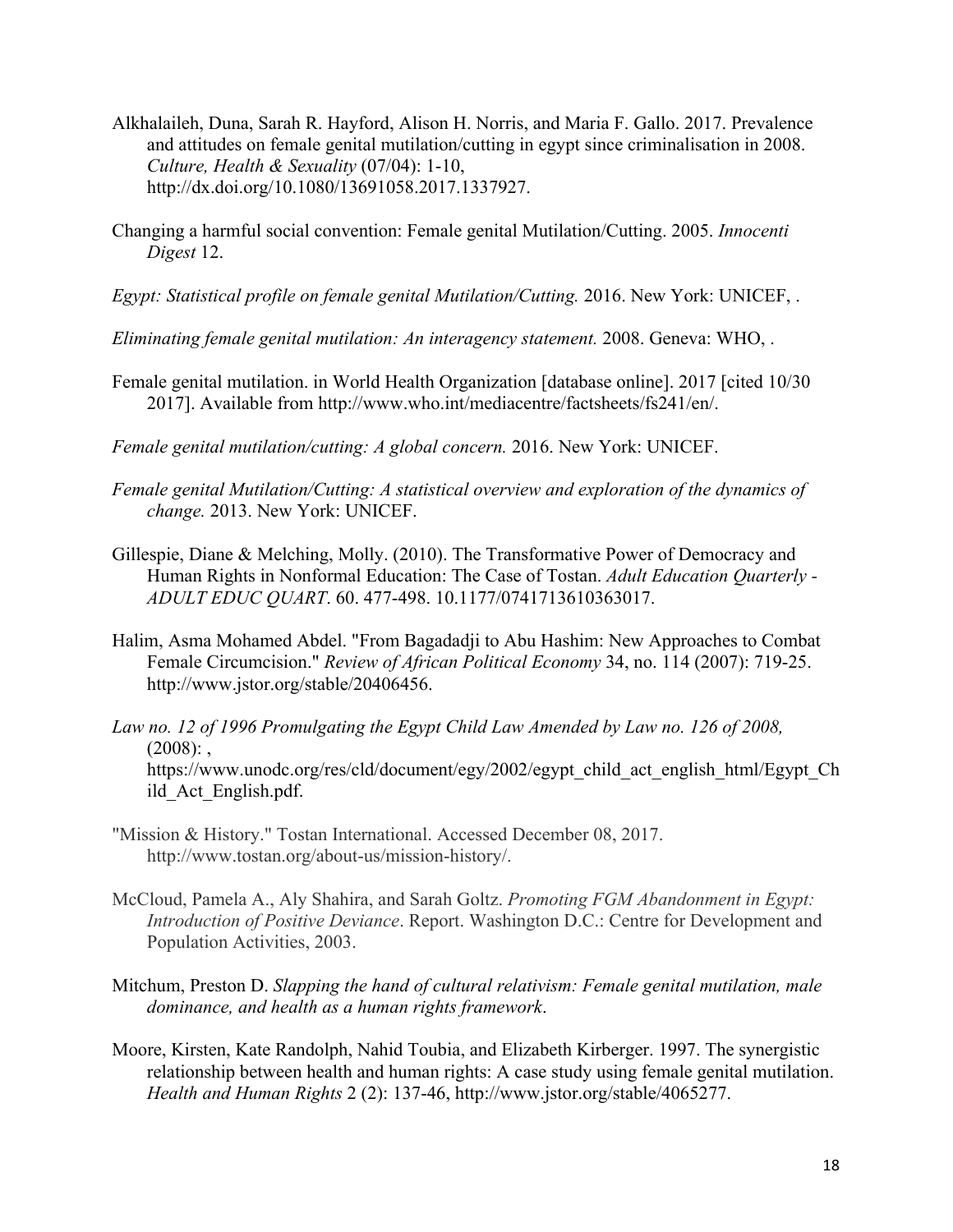- Alkhalaileh, Duna, Sarah R. Hayford, Alison H. Norris, and Maria F. Gallo. 2017. Prevalence and attitudes on female genital mutilation/cutting in egypt since criminalisation in 2008. *Culture, Health & Sexuality* (07/04): 1-10, http://dx.doi.org/10.1080/13691058.2017.1337927.
- Changing a harmful social convention: Female genital Mutilation/Cutting. 2005. *Innocenti Digest* 12.
- *Egypt: Statistical profile on female genital Mutilation/Cutting.* 2016. New York: UNICEF, .
- *Eliminating female genital mutilation: An interagency statement.* 2008. Geneva: WHO, .
- Female genital mutilation. in World Health Organization [database online]. 2017 [cited 10/30 2017]. Available from http://www.who.int/mediacentre/factsheets/fs241/en/.
- *Female genital mutilation/cutting: A global concern.* 2016. New York: UNICEF.
- *Female genital Mutilation/Cutting: A statistical overview and exploration of the dynamics of change.* 2013. New York: UNICEF.
- Gillespie, Diane & Melching, Molly. (2010). The Transformative Power of Democracy and Human Rights in Nonformal Education: The Case of Tostan. *Adult Education Quarterly - ADULT EDUC QUART*. 60. 477-498. 10.1177/0741713610363017.
- Halim, Asma Mohamed Abdel. "From Bagadadji to Abu Hashim: New Approaches to Combat Female Circumcision." *Review of African Political Economy* 34, no. 114 (2007): 719-25. http://www.jstor.org/stable/20406456.
- Law no. 12 of 1996 Promulgating the Egypt Child Law Amended by Law no. 126 of 2008,  $(2008)$ : https://www.unodc.org/res/cld/document/egy/2002/egypt\_child\_act\_english\_html/Egypt\_Ch ild\_Act\_English.pdf.
- "Mission & History." Tostan International. Accessed December 08, 2017. http://www.tostan.org/about-us/mission-history/.
- McCloud, Pamela A., Aly Shahira, and Sarah Goltz. *Promoting FGM Abandonment in Egypt: Introduction of Positive Deviance*. Report. Washington D.C.: Centre for Development and Population Activities, 2003.
- Mitchum, Preston D. *Slapping the hand of cultural relativism: Female genital mutilation, male dominance, and health as a human rights framework*.
- Moore, Kirsten, Kate Randolph, Nahid Toubia, and Elizabeth Kirberger. 1997. The synergistic relationship between health and human rights: A case study using female genital mutilation. *Health and Human Rights* 2 (2): 137-46, http://www.jstor.org/stable/4065277.